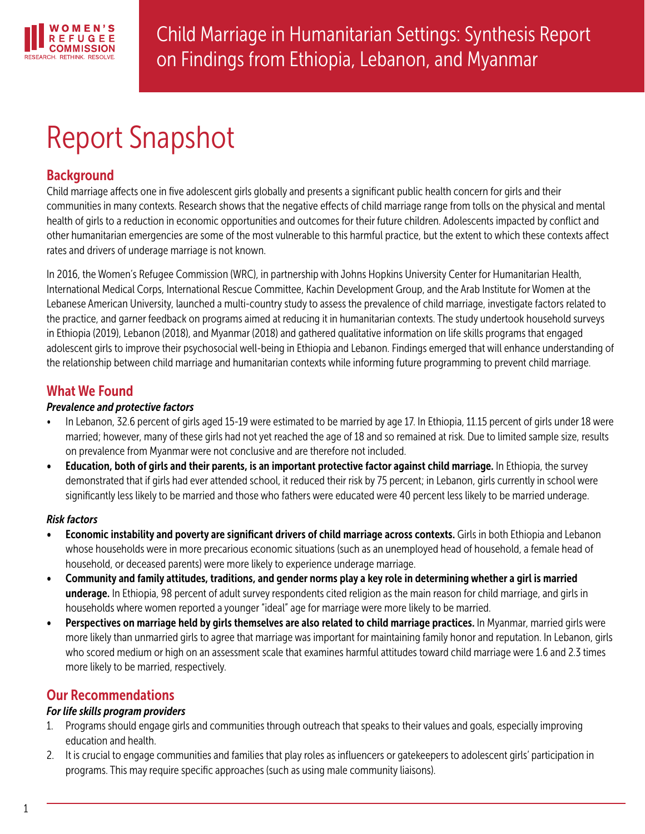

# Report Snapshot

# Background

Child marriage affects one in five adolescent girls globally and presents a significant public health concern for girls and their communities in many contexts. Research shows that the negative effects of child marriage range from tolls on the physical and mental health of girls to a reduction in economic opportunities and outcomes for their future children. Adolescents impacted by conflict and other humanitarian emergencies are some of the most vulnerable to this harmful practice, but the extent to which these contexts affect rates and drivers of underage marriage is not known.

In 2016, the Women's Refugee Commission (WRC), in partnership with Johns Hopkins University Center for Humanitarian Health, International Medical Corps, International Rescue Committee, Kachin Development Group, and the Arab Institute for Women at the Lebanese American University, launched a multi-country study to assess the prevalence of child marriage, investigate factors related to the practice, and garner feedback on programs aimed at reducing it in humanitarian contexts. The study undertook household surveys in Ethiopia (2019), Lebanon (2018), and Myanmar (2018) and gathered qualitative information on life skills programs that engaged adolescent girls to improve their psychosocial well-being in Ethiopia and Lebanon. Findings emerged that will enhance understanding of the relationship between child marriage and humanitarian contexts while informing future programming to prevent child marriage.

# What We Found

## *Prevalence and protective factors*

- In Lebanon, 32.6 percent of girls aged 15-19 were estimated to be married by age 17. In Ethiopia, 11.15 percent of girls under 18 were married; however, many of these girls had not yet reached the age of 18 and so remained at risk. Due to limited sample size, results on prevalence from Myanmar were not conclusive and are therefore not included.
- Education, both of girls and their parents, is an important protective factor against child marriage. In Ethiopia, the survey demonstrated that if girls had ever attended school, it reduced their risk by 75 percent; in Lebanon, girls currently in school were significantly less likely to be married and those who fathers were educated were 40 percent less likely to be married underage.

## *Risk factors*

- Economic instability and poverty are significant drivers of child marriage across contexts. Girls in both Ethiopia and Lebanon whose households were in more precarious economic situations (such as an unemployed head of household, a female head of household, or deceased parents) were more likely to experience underage marriage.
- Community and family attitudes, traditions, and gender norms play a key role in determining whether a girl is married underage. In Ethiopia, 98 percent of adult survey respondents cited religion as the main reason for child marriage, and girls in households where women reported a younger "ideal" age for marriage were more likely to be married.
- Perspectives on marriage held by girls themselves are also related to child marriage practices. In Myanmar, married girls were more likely than unmarried girls to agree that marriage was important for maintaining family honor and reputation. In Lebanon, girls who scored medium or high on an assessment scale that examines harmful attitudes toward child marriage were 1.6 and 2.3 times more likely to be married, respectively.

# Our Recommendations

## *For life skills program providers*

- 1. Programs should engage girls and communities through outreach that speaks to their values and goals, especially improving education and health.
- 2. It is crucial to engage communities and families that play roles as influencers or gatekeepers to adolescent girls' participation in programs. This may require specific approaches (such as using male community liaisons).